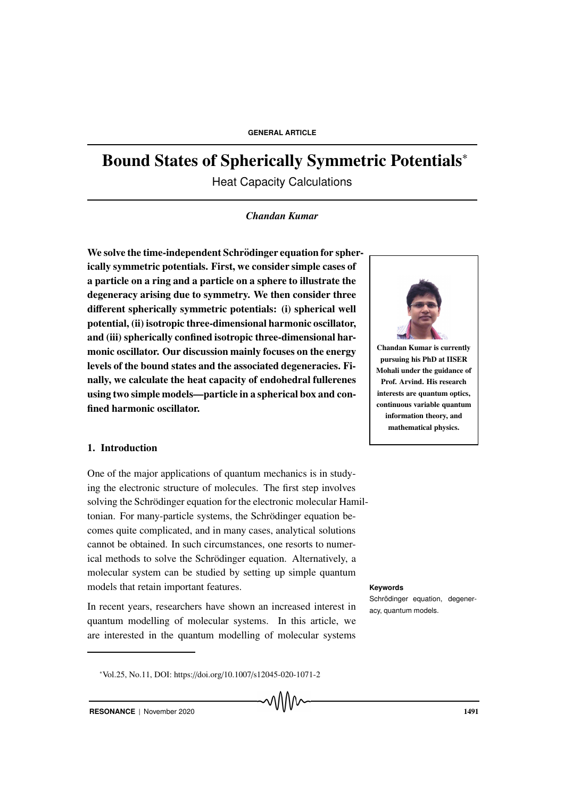# Bound States of Spherically Symmetric Potentials<sup>∗</sup>

Heat Capacity Calculations

*Chandan Kumar*

We solve the time-independent Schrödinger equation for spherically symmetric potentials. First, we consider simple cases of a particle on a ring and a particle on a sphere to illustrate the degeneracy arising due to symmetry. We then consider three different spherically symmetric potentials: (i) spherical well potential, (ii) isotropic three-dimensional harmonic oscillator, and (iii) spherically confined isotropic three-dimensional harmonic oscillator. Our discussion mainly focuses on the energy levels of the bound states and the associated degeneracies. Finally, we calculate the heat capacity of endohedral fullerenes using two simple models—particle in a spherical box and confined harmonic oscillator.



One of the major applications of quantum mechanics is in studying the electronic structure of molecules. The first step involves solving the Schrödinger equation for the electronic molecular Hamiltonian. For many-particle systems, the Schrödinger equation becomes quite complicated, and in many cases, analytical solutions cannot be obtained. In such circumstances, one resorts to numerical methods to solve the Schrödinger equation. Alternatively, a molecular system can be studied by setting up simple quantum models that retain important features. **Keywords** 

In recent years, researchers have shown an increased interest in acy, quantum models. quantum modelling of molecular systems. In this article, we are interested in the quantum modelling of molecular systems

<sup>∗</sup>Vol.25, No.11, DOI: https://doi.org/10.1007/s12045-020-1071-2



Chandan Kumar is currently pursuing his PhD at IISER Mohali under the guidance of Prof. Arvind. His research interests are quantum optics, continuous variable quantum information theory, and mathematical physics.

Schrödinger equation, degener-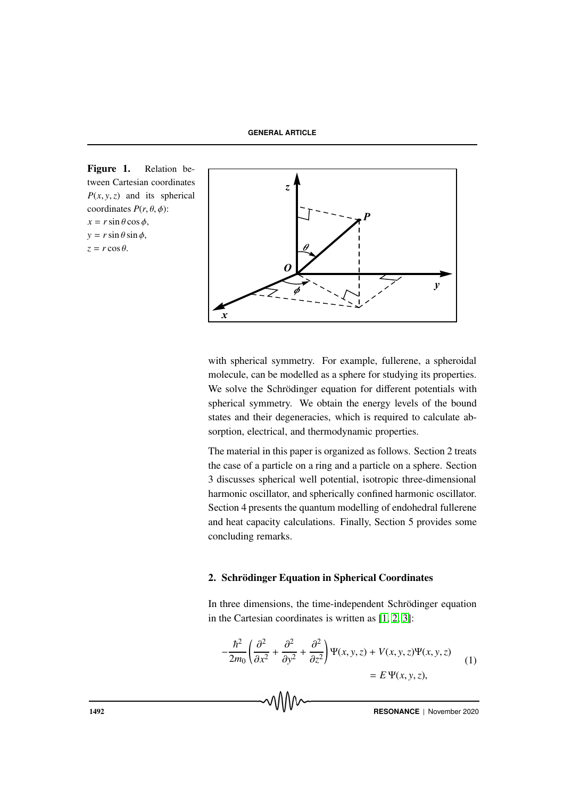**GENERAL ARTICLE**

Figure 1. Relation between Cartesian coordinates  $P(x, y, z)$  and its spherical coordinates  $P(r, \theta, \phi)$ :  $x = r \sin \theta \cos \phi$ ,  $y = r \sin \theta \sin \phi$ ,  $z = r \cos \theta$ .



with spherical symmetry. For example, fullerene, a spheroidal molecule, can be modelled as a sphere for studying its properties. We solve the Schrödinger equation for different potentials with spherical symmetry. We obtain the energy levels of the bound states and their degeneracies, which is required to calculate absorption, electrical, and thermodynamic properties.

The material in this paper is organized as follows. Section 2 treats the case of a particle on a ring and a particle on a sphere. Section 3 discusses spherical well potential, isotropic three-dimensional harmonic oscillator, and spherically confined harmonic oscillator. Section 4 presents the quantum modelling of endohedral fullerene and heat capacity calculations. Finally, Section 5 provides some concluding remarks.

# 2. Schrödinger Equation in Spherical Coordinates

In three dimensions, the time-independent Schrödinger equation in the Cartesian coordinates is written as [1, 2, 3]:

$$
-\frac{\hbar^2}{2m_0} \left( \frac{\partial^2}{\partial x^2} + \frac{\partial^2}{\partial y^2} + \frac{\partial^2}{\partial z^2} \right) \Psi(x, y, z) + V(x, y, z) \Psi(x, y, z)
$$
  
=  $E \Psi(x, y, z)$ , (1)

**TO V V V 12 RESONANCE** | November 2020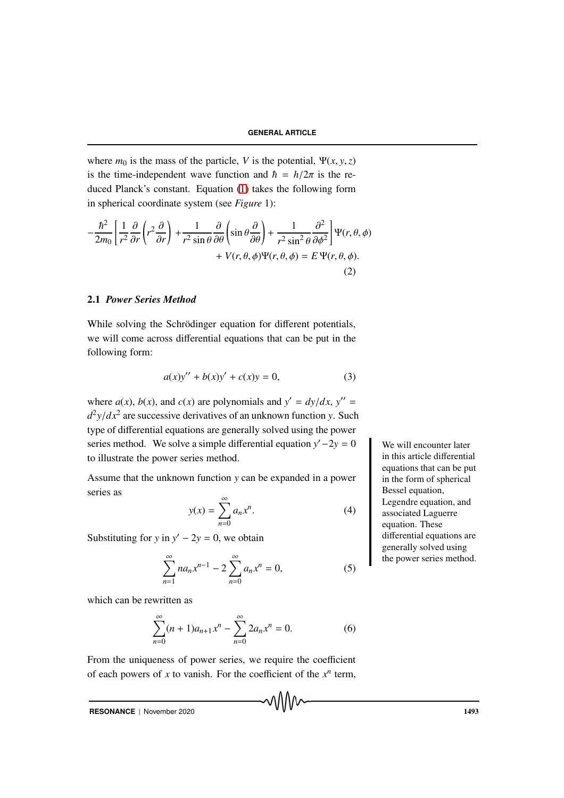where  $m_0$  is the mass of the particle, *V* is the potential,  $\Psi(x, y, z)$ is the time-independent wave function and  $\hbar = h/2\pi$  is the reduced Planck's constant. Equation (1) takes the following form in spherical coordinate system (see *Figure* 1):

$$
-\frac{\hbar^2}{2m_0} \left[ \frac{1}{r^2} \frac{\partial}{\partial r} \left( r^2 \frac{\partial}{\partial r} \right) + \frac{1}{r^2 \sin \theta} \frac{\partial}{\partial \theta} \left( \sin \theta \frac{\partial}{\partial \theta} \right) + \frac{1}{r^2 \sin^2 \theta} \frac{\partial^2}{\partial \phi^2} \right] \Psi(r, \theta, \phi) + V(r, \theta, \phi) \Psi(r, \theta, \phi) = E \Psi(r, \theta, \phi).
$$
\n(2)

### 2.1 *Power Series Method*

While solving the Schrödinger equation for different potentials, we will come across differential equations that can be put in the following form:

$$
a(x)y'' + b(x)y' + c(x)y = 0,
$$
 (3)

where  $a(x)$ ,  $b(x)$ , and  $c(x)$  are polynomials and  $y' = dy/dx$ ,  $y'' =$  $d^2y/dx^2$  are successive derivatives of an unknown function *y*. Such type of differential equations are generally solved using the power series method. We solve a simple differential equation  $y' - 2y = 0$  We will encounter later to illustrate the power series method.

Assume that the unknown function *y* can be expanded in a power series as

$$
y(x) = \sum_{n=0}^{\infty} a_n x^n.
$$
 (4)

Substituting for *y* in  $y' - 2y = 0$ , we obtain

$$
\sum_{n=1}^{\infty} n a_n x^{n-1} - 2 \sum_{n=0}^{\infty} a_n x^n = 0,
$$
 (5)

which can be rewritten as

$$
\sum_{n=0}^{\infty} (n+1)a_{n+1}x^n - \sum_{n=0}^{\infty} 2a_nx^n = 0.
$$
 (6)

From the uniqueness of power series, we require the coefficient of each powers of  $x$  to vanish. For the coefficient of the  $x^n$  term,

**RESONANCE** | November 2020 **1493** 

in this article differential equations that can be put in the form of spherical Bessel equation, Legendre equation, and associated Laguerre equation. These differential equations are generally solved using the power series method.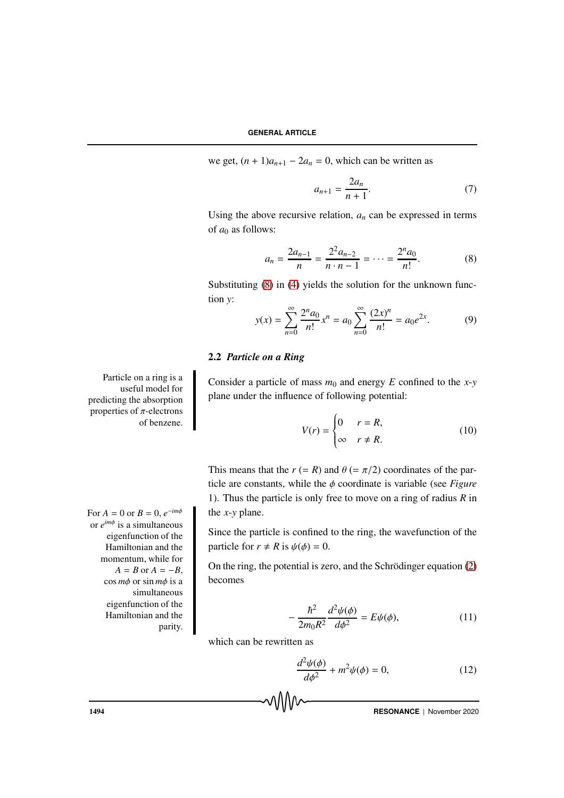we get, 
$$
(n + 1)a_{n+1} - 2a_n = 0
$$
, which can be written as

$$
a_{n+1} = \frac{2a_n}{n+1}.
$$
 (7)

Using the above recursive relation,  $a_n$  can be expressed in terms of  $a_0$  as follows:

$$
a_n = \frac{2a_{n-1}}{n} = \frac{2^2 a_{n-2}}{n \cdot n - 1} = \dots = \frac{2^n a_0}{n!}.
$$
 (8)

Substituting (8) in (4) yields the solution for the unknown function *y*:

$$
y(x) = \sum_{n=0}^{\infty} \frac{2^n a_0}{n!} x^n = a_0 \sum_{n=0}^{\infty} \frac{(2x)^n}{n!} = a_0 e^{2x}.
$$
 (9)

# 2.2 *Particle on a Ring*

Consider a particle of mass  $m_0$  and energy *E* confined to the *x*-*y* plane under the influence of following potential:

$$
V(r) = \begin{cases} 0 & r = R, \\ \infty & r \neq R. \end{cases}
$$
 (10)

This means that the  $r (= R)$  and  $\theta (= \pi/2)$  coordinates of the particle are constants, while the φ coordinate is variable (see *Figure* 1). Thus the particle is only free to move on a ring of radius *R* in For  $A = 0$  or  $B = 0$ ,  $e^{-im\phi}$  **c** the *x*-*y* plane.

> Since the particle is confined to the ring, the wavefunction of the particle for  $r \neq R$  is  $\psi(\phi) = 0$ .

> On the ring, the potential is zero, and the Schrödinger equation  $(2)$ becomes

$$
-\frac{\hbar^2}{2m_0R^2}\frac{d^2\psi(\phi)}{d\phi^2} = E\psi(\phi),
$$
 (11)

which can be rewritten as

$$
\frac{d^2\psi(\phi)}{d\phi^2} + m^2\psi(\phi) = 0,
$$
\n(12)

Particle on a ring is a useful model for predicting the absorption properties of  $\pi$ -electrons of benzene.

or  $e^{im\phi}$  is a simultaneous eigenfunction of the Hamiltonian and the momentum, while for  $A = B$  or  $A = -B$ , cos *m*φ or sin *m*φ is a simultaneous eigenfunction of the Hamiltonian and the parity.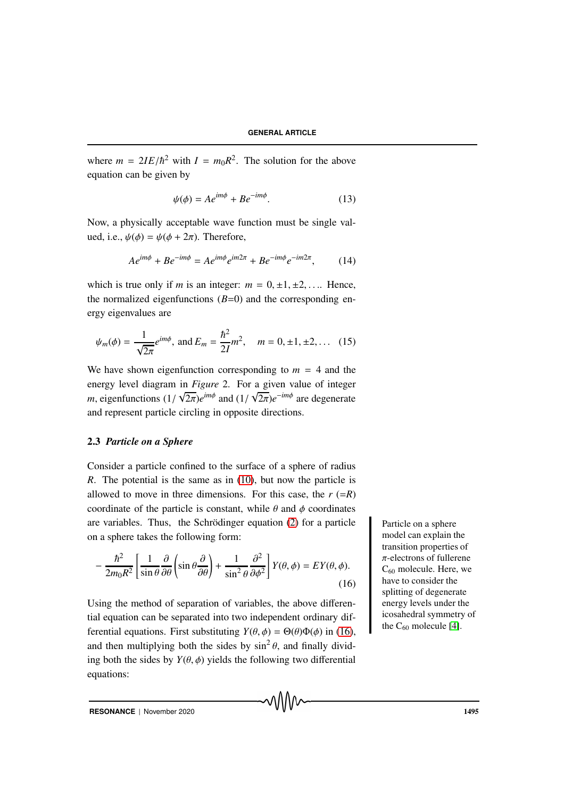where  $m = 2IE/\hbar^2$  with  $I = m_0R^2$ . The solution for the above equation can be given by

$$
\psi(\phi) = Ae^{im\phi} + Be^{-im\phi}.\tag{13}
$$

Now, a physically acceptable wave function must be single valued, i.e.,  $\psi(\phi) = \psi(\phi + 2\pi)$ . Therefore,

$$
Ae^{im\phi} + Be^{-im\phi} = Ae^{im\phi}e^{im2\pi} + Be^{-im\phi}e^{-im2\pi}, \qquad (14)
$$

which is true only if *m* is an integer:  $m = 0, \pm 1, \pm 2, \ldots$  Hence, the normalized eigenfunctions  $(B=0)$  and the corresponding energy eigenvalues are

$$
\psi_m(\phi) = \frac{1}{\sqrt{2\pi}} e^{im\phi}
$$
, and  $E_m = \frac{\hbar^2}{2I} m^2$ ,  $m = 0, \pm 1, \pm 2,...$  (15)

We have shown eigenfunction corresponding to  $m = 4$  and the energy level diagram in *Figure* 2. For a given value of integer *m*, eigenfunctions  $(1/\sqrt{2\pi})e^{im\phi}$  and  $(1/\sqrt{2\pi})e^{-im\phi}$  are degenerate and represent particle circling in opposite directions.

#### 2.3 *Particle on a Sphere*

Consider a particle confined to the surface of a sphere of radius *R*. The potential is the same as in (10), but now the particle is allowed to move in three dimensions. For this case, the  $r (=R)$ coordinate of the particle is constant, while  $\theta$  and  $\phi$  coordinates are variables. Thus, the Schrödinger equation  $(2)$  for a particle Particle on a sphere on a sphere takes the following form:

$$
-\frac{\hbar^2}{2m_0R^2} \left[ \frac{1}{\sin\theta} \frac{\partial}{\partial\theta} \left( \sin\theta \frac{\partial}{\partial\theta} \right) + \frac{1}{\sin^2\theta} \frac{\partial^2}{\partial\phi^2} \right] Y(\theta, \phi) = EY(\theta, \phi). \tag{16}
$$

Using the method of separation of variables, the above differential equation can be separated into two independent ordinary differential equations. First substituting  $Y(\theta, \phi) = \Theta(\theta)\Phi(\phi)$  in (16), and then multiplying both the sides by  $\sin^2 \theta$ , and finally dividing both the sides by  $Y(\theta, \phi)$  yields the following two differential equations:

᠕᠕᠕᠕

model can explain the transition properties of  $\pi$ -electrons of fullerene C<sup>60</sup> molecule. Here, we have to consider the splitting of degenerate energy levels under the icosahedral symmetry of the  $C_{60}$  molecule [4].

**RESONANCE** | November 2020 **1495**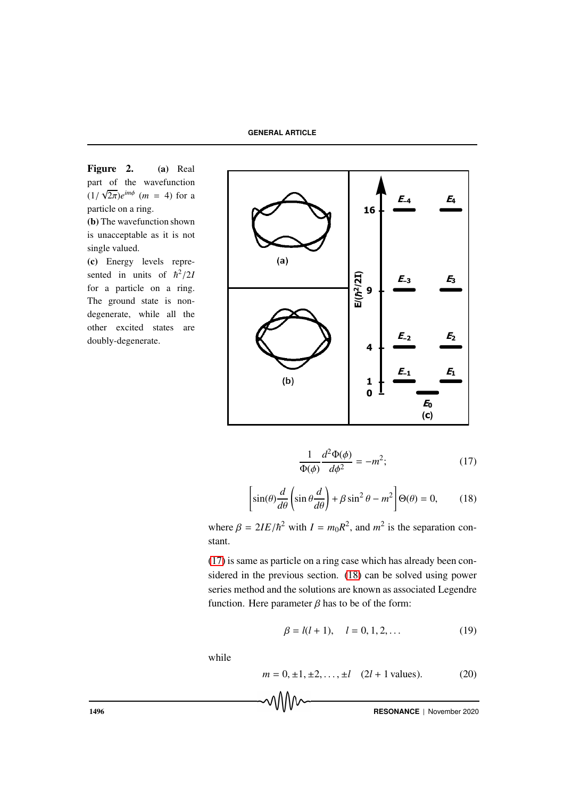Figure 2. (a) Real part of the wavefunction  $(1/\sqrt{2\pi})e^{im\phi}$  (*m* = 4) for a particle on a ring. (b) The wavefunction shown is unacceptable as it is not single valued. (c) Energy levels repre-

sented in units of  $\hbar^2/2I$ for a particle on a ring. The ground state is nondegenerate, while all the other excited states are doubly-degenerate.



$$
\frac{1}{\Phi(\phi)} \frac{d^2 \Phi(\phi)}{d\phi^2} = -m^2; \tag{17}
$$

$$
\left[\sin(\theta)\frac{d}{d\theta}\left(\sin\theta\frac{d}{d\theta}\right) + \beta\sin^2\theta - m^2\right]\Theta(\theta) = 0,\qquad(18)
$$

where  $\beta = 2IE/\hbar^2$  with  $I = m_0R^2$ , and  $m^2$  is the separation constant.

(17) is same as particle on a ring case which has already been considered in the previous section. (18) can be solved using power series method and the solutions are known as associated Legendre function. Here parameter  $\beta$  has to be of the form:

$$
\beta = l(l+1), \quad l = 0, 1, 2, \dots \tag{19}
$$

while

$$
m = 0, \pm 1, \pm 2, ..., \pm l
$$
 (2*l* + 1 values). (20)

1496 **RESONANCE** | November 2020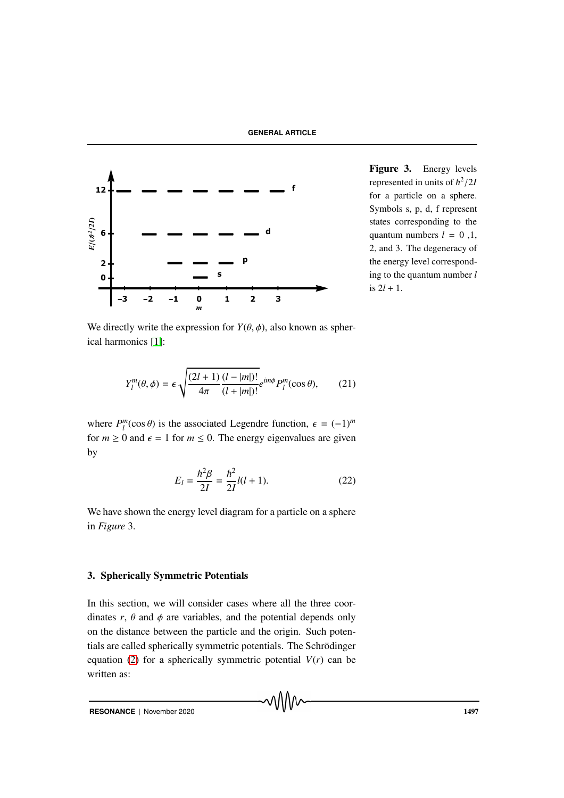

Figure 3. Energy levels represented in units of  $\hbar^2/2I$ for a particle on a sphere. Symbols s, p, d, f represent states corresponding to the quantum numbers  $l = 0, 1,$ 2, and 3. The degeneracy of the energy level corresponding to the quantum number *l* is  $2l + 1$ .

We directly write the expression for  $Y(\theta, \phi)$ , also known as spherical harmonics [1]:

$$
Y_{l}^{m}(\theta,\phi) = \epsilon \sqrt{\frac{(2l+1)}{4\pi} \frac{(l-|m|)!}{(l+|m|)!}} e^{im\phi} P_{l}^{m}(\cos\theta),
$$
 (21)

where  $P_l^m(\cos \theta)$  is the associated Legendre function,  $\epsilon = (-1)^m$ for  $m \ge 0$  and  $\epsilon = 1$  for  $m \le 0$ . The energy eigenvalues are given by

$$
E_l = \frac{\hbar^2 \beta}{2I} = \frac{\hbar^2}{2I} l(l+1).
$$
 (22)

MWV

We have shown the energy level diagram for a particle on a sphere in *Figure* 3.

# 3. Spherically Symmetric Potentials

In this section, we will consider cases where all the three coordinates  $r$ ,  $\theta$  and  $\phi$  are variables, and the potential depends only on the distance between the particle and the origin. Such potentials are called spherically symmetric potentials. The Schrödinger equation (2) for a spherically symmetric potential  $V(r)$  can be written as: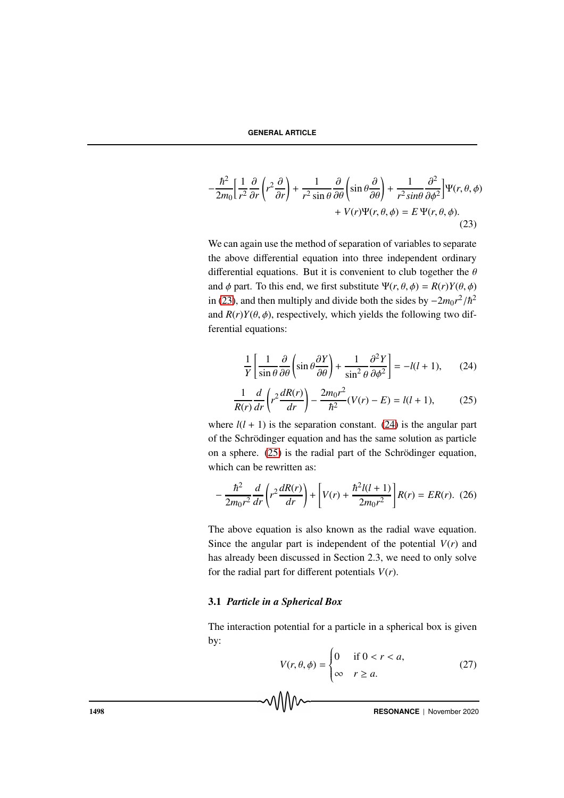$$
-\frac{\hbar^2}{2m_0} \left[ \frac{1}{r^2} \frac{\partial}{\partial r} \left( r^2 \frac{\partial}{\partial r} \right) + \frac{1}{r^2 \sin \theta} \frac{\partial}{\partial \theta} \left( \sin \theta \frac{\partial}{\partial \theta} \right) + \frac{1}{r^2 \sin \theta} \frac{\partial^2}{\partial \phi^2} \right] \Psi(r, \theta, \phi) + V(r) \Psi(r, \theta, \phi) = E \Psi(r, \theta, \phi).
$$
\n(23)

We can again use the method of separation of variables to separate the above differential equation into three independent ordinary differential equations. But it is convenient to club together the  $\theta$ and  $\phi$  part. To this end, we first substitute  $\Psi(r, \theta, \phi) = R(r)Y(\theta, \phi)$ in (23), and then multiply and divide both the sides by  $-2m_0r^2/\hbar^2$ and  $R(r)Y(\theta, \phi)$ , respectively, which yields the following two differential equations:

$$
\frac{1}{Y} \left[ \frac{1}{\sin \theta} \frac{\partial}{\partial \theta} \left( \sin \theta \frac{\partial Y}{\partial \theta} \right) + \frac{1}{\sin^2 \theta} \frac{\partial^2 Y}{\partial \phi^2} \right] = -l(l+1), \qquad (24)
$$

$$
\frac{1}{R(r)}\frac{d}{dr}\left(r^2\frac{dR(r)}{dr}\right) - \frac{2m_0r^2}{\hbar^2}(V(r) - E) = l(l+1),\tag{25}
$$

where  $l(l + 1)$  is the separation constant. (24) is the angular part of the Schrödinger equation and has the same solution as particle on a sphere.  $(25)$  is the radial part of the Schrödinger equation, which can be rewritten as:

$$
-\frac{\hbar^2}{2m_0r^2}\frac{d}{dr}\left(r^2\frac{dR(r)}{dr}\right) + \left[V(r) + \frac{\hbar^2l(l+1)}{2m_0r^2}\right]R(r) = ER(r). \tag{26}
$$

The above equation is also known as the radial wave equation. Since the angular part is independent of the potential  $V(r)$  and has already been discussed in Section 2.3, we need to only solve for the radial part for different potentials  $V(r)$ .

#### 3.1 *Particle in a Spherical Box*

The interaction potential for a particle in a spherical box is given by:

$$
V(r, \theta, \phi) = \begin{cases} 0 & \text{if } 0 < r < a, \\ \infty & r \ge a. \end{cases}
$$
 (27)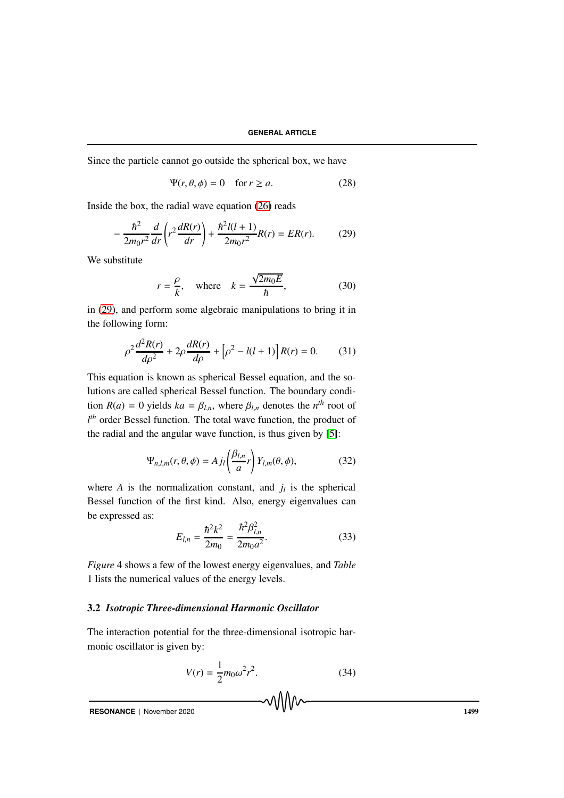Since the particle cannot go outside the spherical box, we have

$$
\Psi(r,\theta,\phi) = 0 \quad \text{for } r \ge a. \tag{28}
$$

Inside the box, the radial wave equation (26) reads

$$
-\frac{\hbar^2}{2m_0r^2}\frac{d}{dr}\left(r^2\frac{dR(r)}{dr}\right) + \frac{\hbar^2l(l+1)}{2m_0r^2}R(r) = ER(r).
$$
 (29)

We substitute

$$
r = \frac{\rho}{k}
$$
, where  $k = \frac{\sqrt{2m_0E}}{\hbar}$ , (30)

in (29), and perform some algebraic manipulations to bring it in the following form:

$$
\rho^2 \frac{d^2 R(r)}{d\rho^2} + 2\rho \frac{dR(r)}{d\rho} + \left[\rho^2 - l(l+1)\right]R(r) = 0.
$$
 (31)

This equation is known as spherical Bessel equation, and the solutions are called spherical Bessel function. The boundary condition  $R(a) = 0$  yields  $ka = \beta_{l,n}$ , where  $\beta_{l,n}$  denotes the  $n^{th}$  root of *l th* order Bessel function. The total wave function, the product of the radial and the angular wave function, is thus given by [5]:

$$
\Psi_{n,l,m}(r,\theta,\phi) = A j_l \left(\frac{\beta_{l,n}}{a}r\right) Y_{l,m}(\theta,\phi),\tag{32}
$$

where  $A$  is the normalization constant, and  $j_l$  is the spherical Bessel function of the first kind. Also, energy eigenvalues can be expressed as:

$$
E_{l,n} = \frac{\hbar^2 k^2}{2m_0} = \frac{\hbar^2 \beta_{l,n}^2}{2m_0 a^2}.
$$
 (33)

*Figure* 4 shows a few of the lowest energy eigenvalues, and *Table* 1 lists the numerical values of the energy levels.

# 3.2 *Isotropic Three-dimensional Harmonic Oscillator*

The interaction potential for the three-dimensional isotropic harmonic oscillator is given by:

$$
V(r) = \frac{1}{2}m_0\omega^2 r^2.
$$
 (34)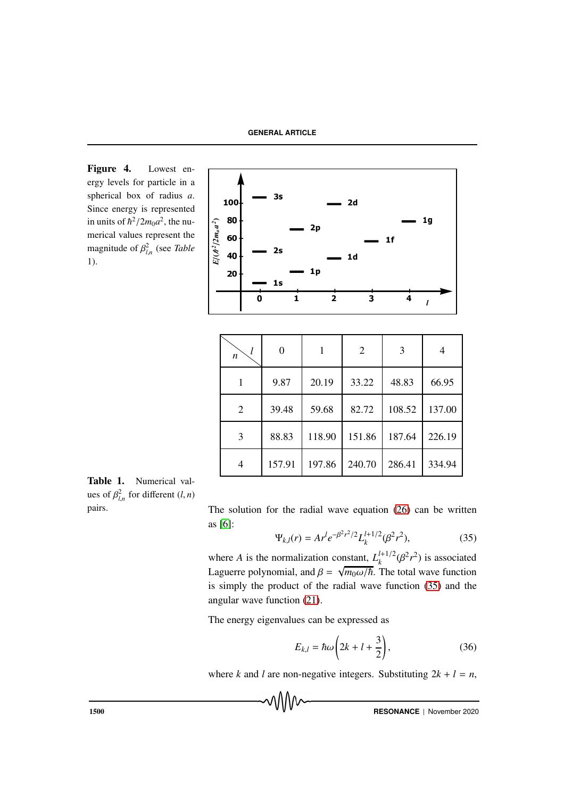Figure 4. Lowest energy levels for particle in a spherical box of radius *a*. Since energy is represented in units of  $\hbar^2/2m_0a^2$ , the numerical values represent the magnitude of  $\beta_{l,n}^2$  (see *Table* 1).



| l<br>n | $\boldsymbol{0}$ |        | 2      | 3      | 4      |
|--------|------------------|--------|--------|--------|--------|
|        | 9.87             | 20.19  | 33.22  | 48.83  | 66.95  |
| 2      | 39.48            | 59.68  | 82.72  | 108.52 | 137.00 |
| 3      | 88.83            | 118.90 | 151.86 | 187.64 | 226.19 |
| 4      | 157.91           | 197.86 | 240.70 | 286.41 | 334.94 |

Table 1. Numerical values of  $\beta_{l,n}^2$  for different  $(l, n)$ 

pairs. The solution for the radial wave equation (26) can be written as [6]:

$$
\Psi_{k,l}(r) = Ar^l e^{-\beta^2 r^2/2} L_k^{l+1/2} (\beta^2 r^2),
$$
\n(35)

where *A* is the normalization constant,  $L_k^{l+1/2}$ onstant,  $L_k^{l+1/2}(\beta^2 r^2)$  is associated Laguerre polynomial, and  $\beta = \sqrt{m_0 \omega/\hbar}$ . The total wave function is simply the product of the radial wave function (35) and the angular wave function (21).

The energy eigenvalues can be expressed as

$$
E_{k,l} = \hbar \omega \left( 2k + l + \frac{3}{2} \right),\tag{36}
$$

where *k* and *l* are non-negative integers. Substituting  $2k + l = n$ ,

**1500 RESONANCE** | November 2020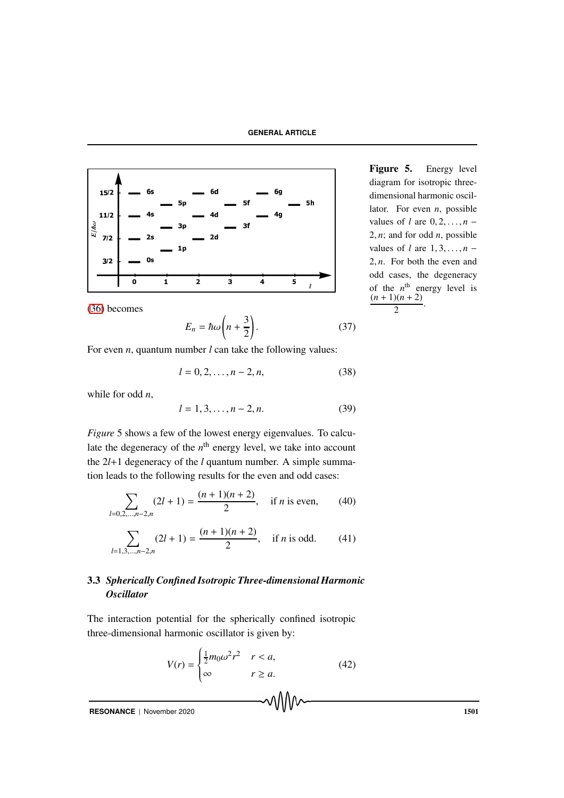

(36) becomes

$$
E_n = \hbar \omega \left( n + \frac{3}{2} \right). \tag{37}
$$

For even *n*, quantum number *l* can take the following values:

$$
l = 0, 2, \dots, n - 2, n,\tag{38}
$$

while for odd *n*,

$$
l = 1, 3, \dots, n - 2, n. \tag{39}
$$

*Figure* 5 shows a few of the lowest energy eigenvalues. To calculate the degeneracy of the  $n<sup>th</sup>$  energy level, we take into account the 2*l*+1 degeneracy of the *l* quantum number. A simple summation leads to the following results for the even and odd cases:

$$
\sum_{l=0,2,\dots,n-2,n} (2l+1) = \frac{(n+1)(n+2)}{2}, \quad \text{if } n \text{ is even}, \tag{40}
$$

$$
\sum_{l=1,3,\dots,n-2,n} (2l+1) = \frac{(n+1)(n+2)}{2}, \quad \text{if } n \text{ is odd.} \tag{41}
$$

# 3.3 *Spherically Confined Isotropic Three-dimensional Harmonic Oscillator*

The interaction potential for the spherically confined isotropic three-dimensional harmonic oscillator is given by:

$$
V(r) = \begin{cases} \frac{1}{2}m_0\omega^2r^2 & r < a, \\ \infty & r \ge a. \end{cases}
$$
 (42)

**RESONANCE** | November 2020 1501

Figure 5. Energy level diagram for isotropic threedimensional harmonic oscillator. For even *n*, possible values of *l* are  $0, 2, \ldots, n$  − 2, *n*; and for odd *n*, possible values of *l* are  $1, 3, \ldots, n$  – 2, *n*. For both the even and odd cases, the degeneracy of the  $n^{\text{th}}$  energy level is  $\frac{(n+1)(n+2)}{2}$ .  $\overline{2}$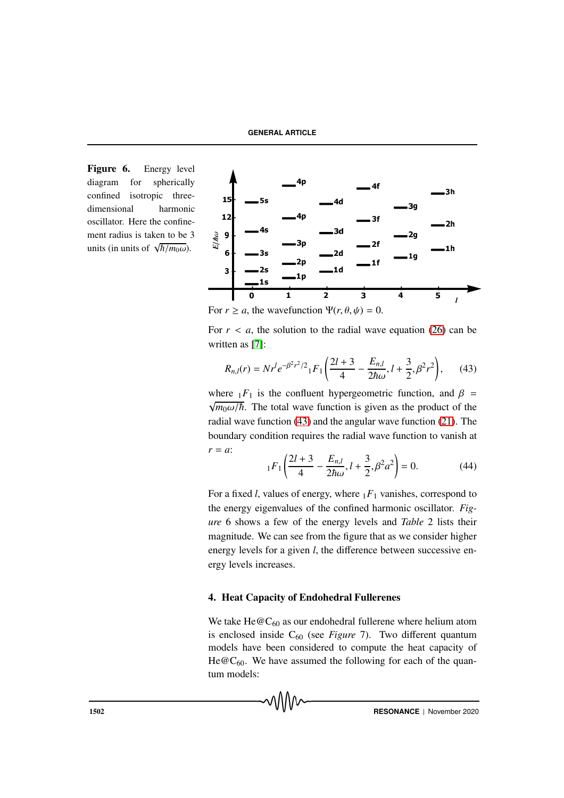Figure 6. Energy level diagram for spherically confined isotropic threedimensional harmonic oscillator. Here the confinement radius is taken to be 3 units (in units of  $\sqrt{\hbar/m_0\omega}$ ).



For  $r \ge a$ , the wavefunction  $\Psi(r, \theta, \psi) = 0$ .

For  $r < a$ , the solution to the radial wave equation (26) can be written as [7]:

$$
R_{n,l}(r) = Nr^l e^{-\beta^2 r^2/2} {}_1F_1\left(\frac{2l+3}{4} - \frac{E_{n,l}}{2\hbar\omega}, l + \frac{3}{2}, \beta^2 r^2\right),\qquad(43)
$$

where  $1F_1$  is the confluent hypergeometric function, and  $\beta = \sqrt{\frac{F_1}{F_1}}$  $\sqrt{m_0 \omega/\hbar}$ . The total wave function is given as the product of the radial wave function (43) and the angular wave function (21). The boundary condition requires the radial wave function to vanish at *r* = *a*:

$$
{}_1F_1\left(\frac{2l+3}{4} - \frac{E_{n,l}}{2\hbar\omega}, l + \frac{3}{2}, \beta^2 a^2\right) = 0.
$$
 (44)

For a fixed *l*, values of energy, where  $_1F_1$  vanishes, correspond to the energy eigenvalues of the confined harmonic oscillator. *Figure* 6 shows a few of the energy levels and *Table* 2 lists their magnitude. We can see from the figure that as we consider higher energy levels for a given *l*, the difference between successive energy levels increases.

## 4. Heat Capacity of Endohedral Fullerenes

We take  $He@C_{60}$  as our endohedral fullerene where helium atom is enclosed inside C<sub>60</sub> (see *Figure 7*). Two different quantum models have been considered to compute the heat capacity of He $@C_{60}$ . We have assumed the following for each of the quantum models: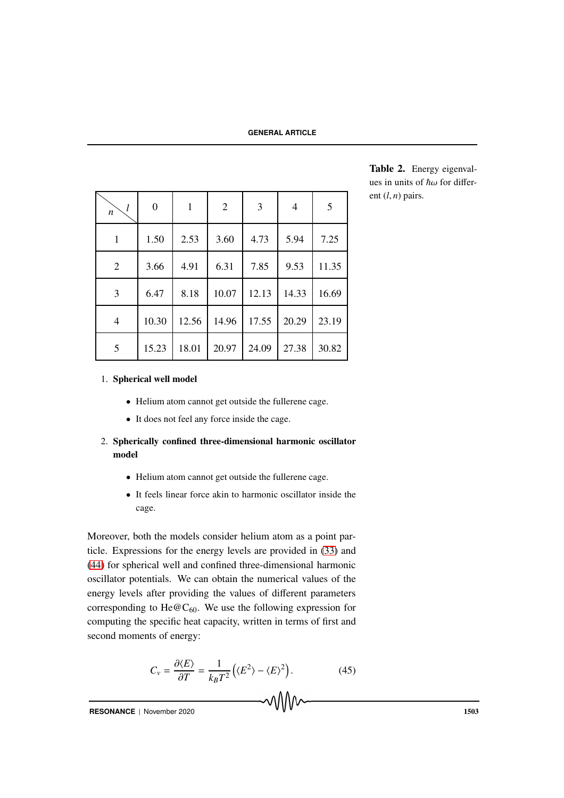| l<br>$\boldsymbol{n}$ | $\boldsymbol{0}$ | $\mathbf{1}$ | $\overline{2}$ | 3     | 4     | 5     |
|-----------------------|------------------|--------------|----------------|-------|-------|-------|
| $\mathbf{1}$          | 1.50             | 2.53         | 3.60           | 4.73  | 5.94  | 7.25  |
| $\overline{2}$        | 3.66             | 4.91         | 6.31           | 7.85  | 9.53  | 11.35 |
| 3                     | 6.47             | 8.18         | 10.07          | 12.13 | 14.33 | 16.69 |
| 4                     | 10.30            | 12.56        | 14.96          | 17.55 | 20.29 | 23.19 |
| 5                     | 15.23            | 18.01        | 20.97          | 24.09 | 27.38 | 30.82 |

Table 2. Energy eigenvalues in units of  $\hbar\omega$  for different  $(l, n)$  pairs.

#### 1. Spherical well model

- Helium atom cannot get outside the fullerene cage.
- It does not feel any force inside the cage.

# 2. Spherically confined three-dimensional harmonic oscillator model

- Helium atom cannot get outside the fullerene cage.
- It feels linear force akin to harmonic oscillator inside the cage.

Moreover, both the models consider helium atom as a point particle. Expressions for the energy levels are provided in (33) and (44) for spherical well and confined three-dimensional harmonic oscillator potentials. We can obtain the numerical values of the energy levels after providing the values of different parameters corresponding to  $He@C_{60}$ . We use the following expression for computing the specific heat capacity, written in terms of first and second moments of energy:

$$
C_{v} = \frac{\partial \langle E \rangle}{\partial T} = \frac{1}{k_{B}T^{2}} \left( \langle E^{2} \rangle - \langle E \rangle^{2} \right).
$$
 (45)

**RESONANCE** | November 2020 1503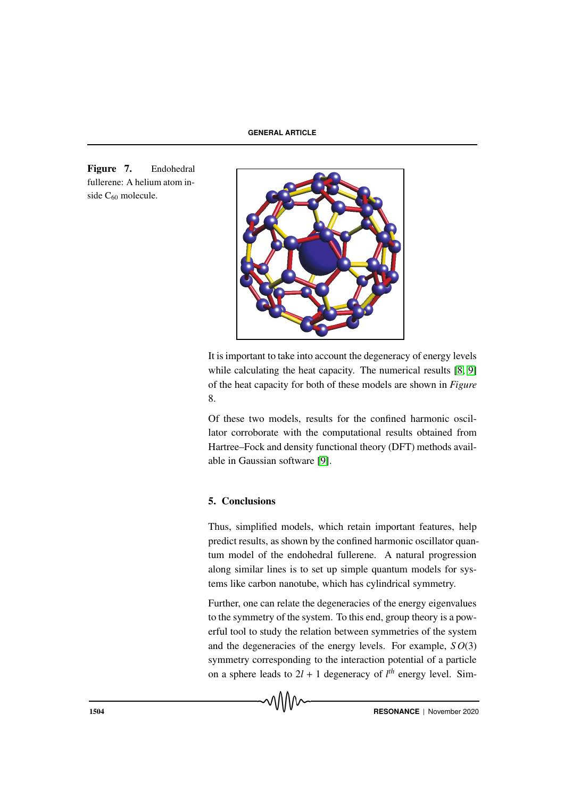Figure 7. Endohedral fullerene: A helium atom inside C<sub>60</sub> molecule.



It is important to take into account the degeneracy of energy levels while calculating the heat capacity. The numerical results [8, 9] of the heat capacity for both of these models are shown in *Figure* 8.

Of these two models, results for the confined harmonic oscillator corroborate with the computational results obtained from Hartree–Fock and density functional theory (DFT) methods available in Gaussian software [9].

## 5. Conclusions

Thus, simplified models, which retain important features, help predict results, as shown by the confined harmonic oscillator quantum model of the endohedral fullerene. A natural progression along similar lines is to set up simple quantum models for systems like carbon nanotube, which has cylindrical symmetry.

Further, one can relate the degeneracies of the energy eigenvalues to the symmetry of the system. To this end, group theory is a powerful tool to study the relation between symmetries of the system and the degeneracies of the energy levels. For example, *S O*(3) symmetry corresponding to the interaction potential of a particle on a sphere leads to  $2l + 1$  degeneracy of  $l<sup>th</sup>$  energy level. Sim-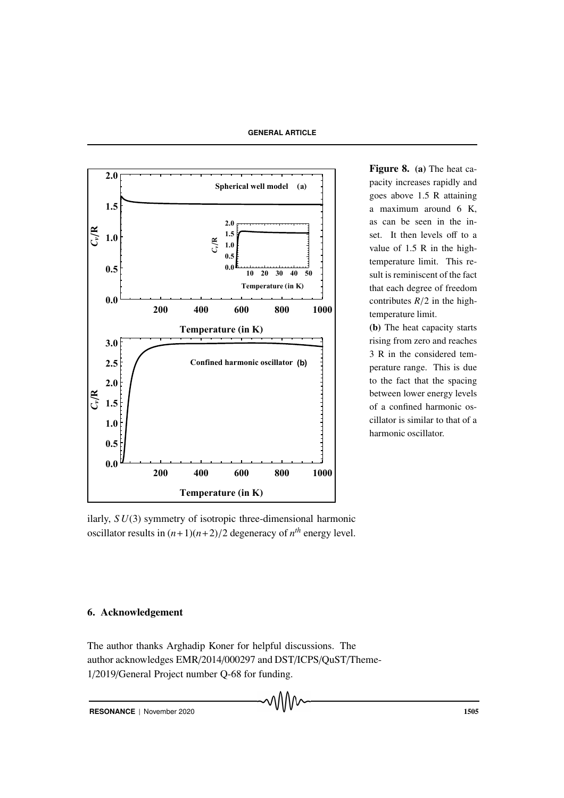

Figure 8. (a) The heat capacity increases rapidly and goes above 1.5 R attaining a maximum around 6 K, as can be seen in the inset. It then levels off to a value of 1.5 R in the hightemperature limit. This result is reminiscent of the fact that each degree of freedom contributes  $R/2$  in the hightemperature limit.

(b) The heat capacity starts rising from zero and reaches 3 R in the considered temperature range. This is due to the fact that the spacing between lower energy levels of a confined harmonic oscillator is similar to that of a harmonic oscillator.

ilarly, *S U*(3) symmetry of isotropic three-dimensional harmonic oscillator results in  $(n+1)(n+2)/2$  degeneracy of  $n<sup>th</sup>$  energy level.

#### 6. Acknowledgement

The author thanks Arghadip Koner for helpful discussions. The author acknowledges EMR/2014/000297 and DST/ICPS/QuST/Theme-1/2019/General Project number Q-68 for funding.

**RESONANCE** | November 2020 1505